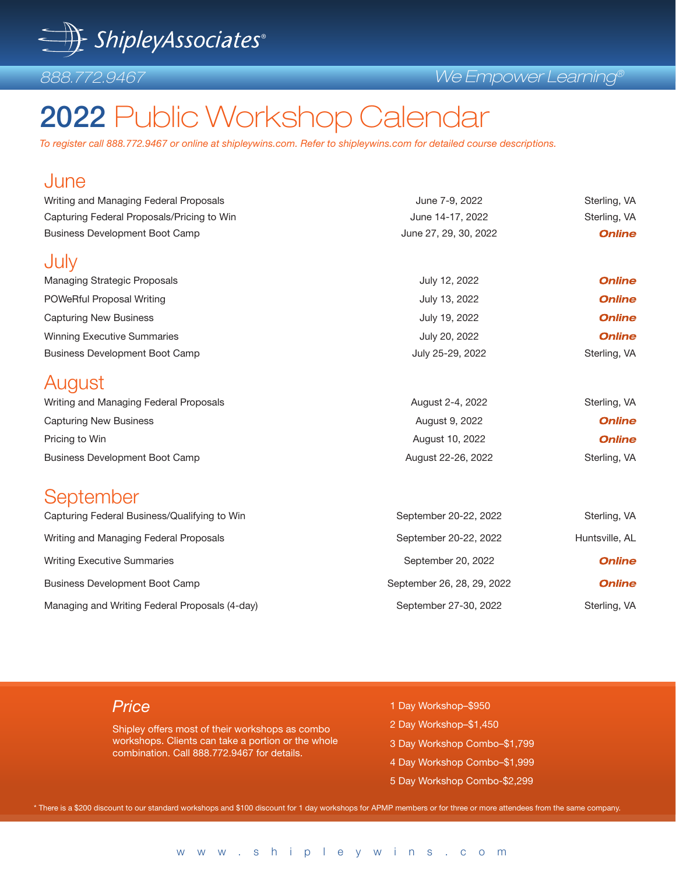

#### *We Empower Learning®*

# 2022 Public Workshop Calendar

*To register call 888.772.9467 or online at shipleywins.com. Refer to shipleywins.com for detailed course descriptions.* 

| June                                           |                            |                |
|------------------------------------------------|----------------------------|----------------|
| Writing and Managing Federal Proposals         | June 7-9, 2022             | Sterling, VA   |
| Capturing Federal Proposals/Pricing to Win     | June 14-17, 2022           | Sterling, VA   |
| <b>Business Development Boot Camp</b>          | June 27, 29, 30, 2022      | <b>Online</b>  |
| July                                           |                            |                |
| <b>Managing Strategic Proposals</b>            | July 12, 2022              | <b>Online</b>  |
| POWeRful Proposal Writing                      | July 13, 2022              | <b>Online</b>  |
| <b>Capturing New Business</b>                  | July 19, 2022              | <b>Online</b>  |
| <b>Winning Executive Summaries</b>             | July 20, 2022              | <b>Online</b>  |
| <b>Business Development Boot Camp</b>          | July 25-29, 2022           | Sterling, VA   |
| August                                         |                            |                |
| Writing and Managing Federal Proposals         | August 2-4, 2022           | Sterling, VA   |
| <b>Capturing New Business</b>                  | August 9, 2022             | <b>Online</b>  |
| Pricing to Win                                 | August 10, 2022            | <b>Online</b>  |
| <b>Business Development Boot Camp</b>          | August 22-26, 2022         | Sterling, VA   |
| September                                      |                            |                |
| Capturing Federal Business/Qualifying to Win   | September 20-22, 2022      | Sterling, VA   |
| Writing and Managing Federal Proposals         | September 20-22, 2022      | Huntsville, AL |
| <b>Writing Executive Summaries</b>             | September 20, 2022         | <b>Online</b>  |
| <b>Business Development Boot Camp</b>          | September 26, 28, 29, 2022 | <b>Online</b>  |
| Managing and Writing Federal Proposals (4-day) | September 27-30, 2022      | Sterling, VA   |
|                                                |                            |                |

### *Price*

Shipley offers most of their workshops as combo workshops. Clients can take a portion or the whole combination. Call 888.772.9467 for details.

- 1 Day Workshop–\$950
- 2 Day Workshop–\$1,450
- 3 Day Workshop Combo–\$1,799
- 4 Day Workshop Combo–\$1,999
- 5 Day Workshop Combo-\$2,299

\* There is a \$200 discount to our standard workshops and \$100 discount for 1 day workshops for APMP members or for three or more attendees from the same company.